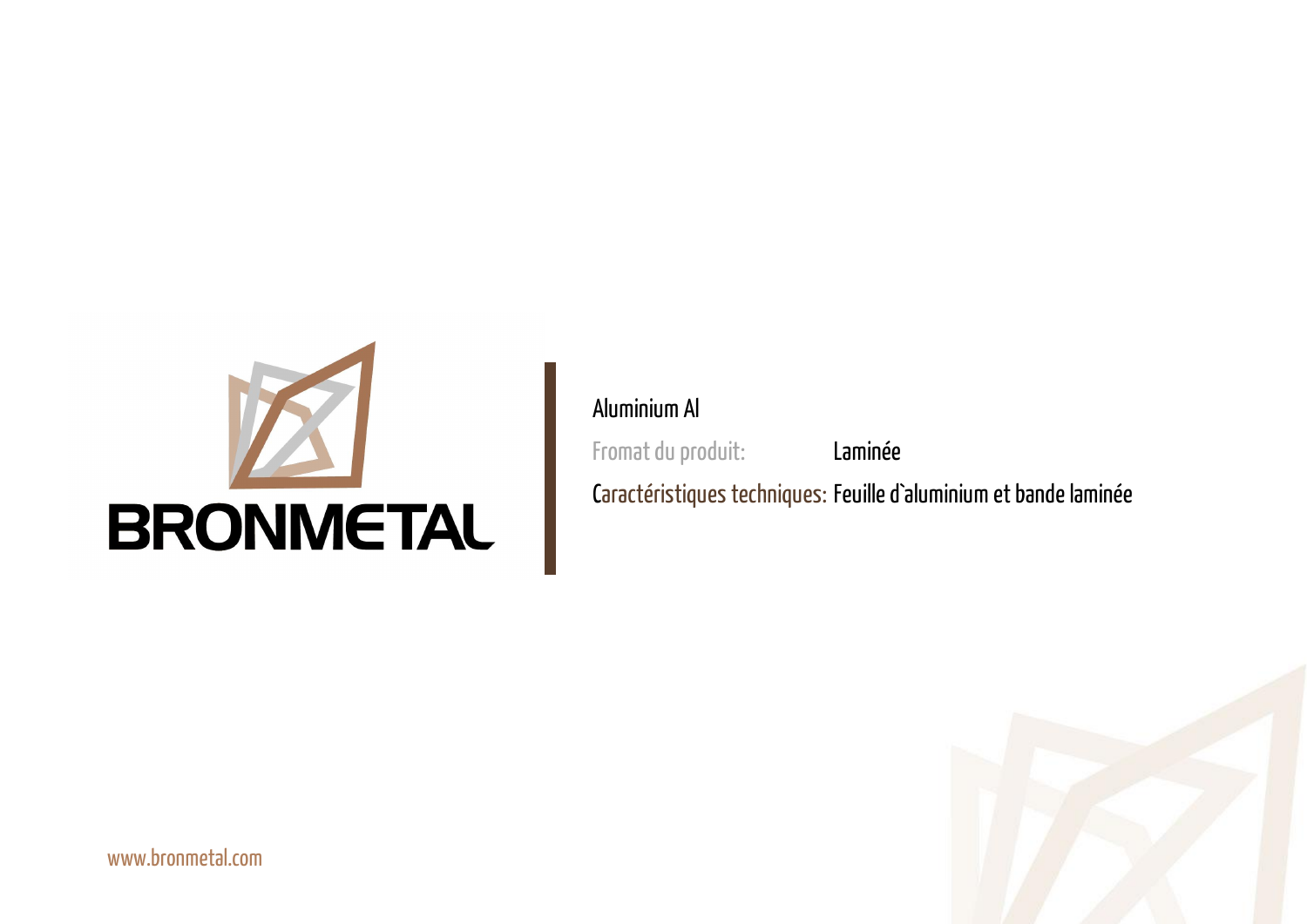



#### Aluminium Al

Fromat du produit: Laminée

Caractéristiques techniques: Feuille d`aluminium et bande laminée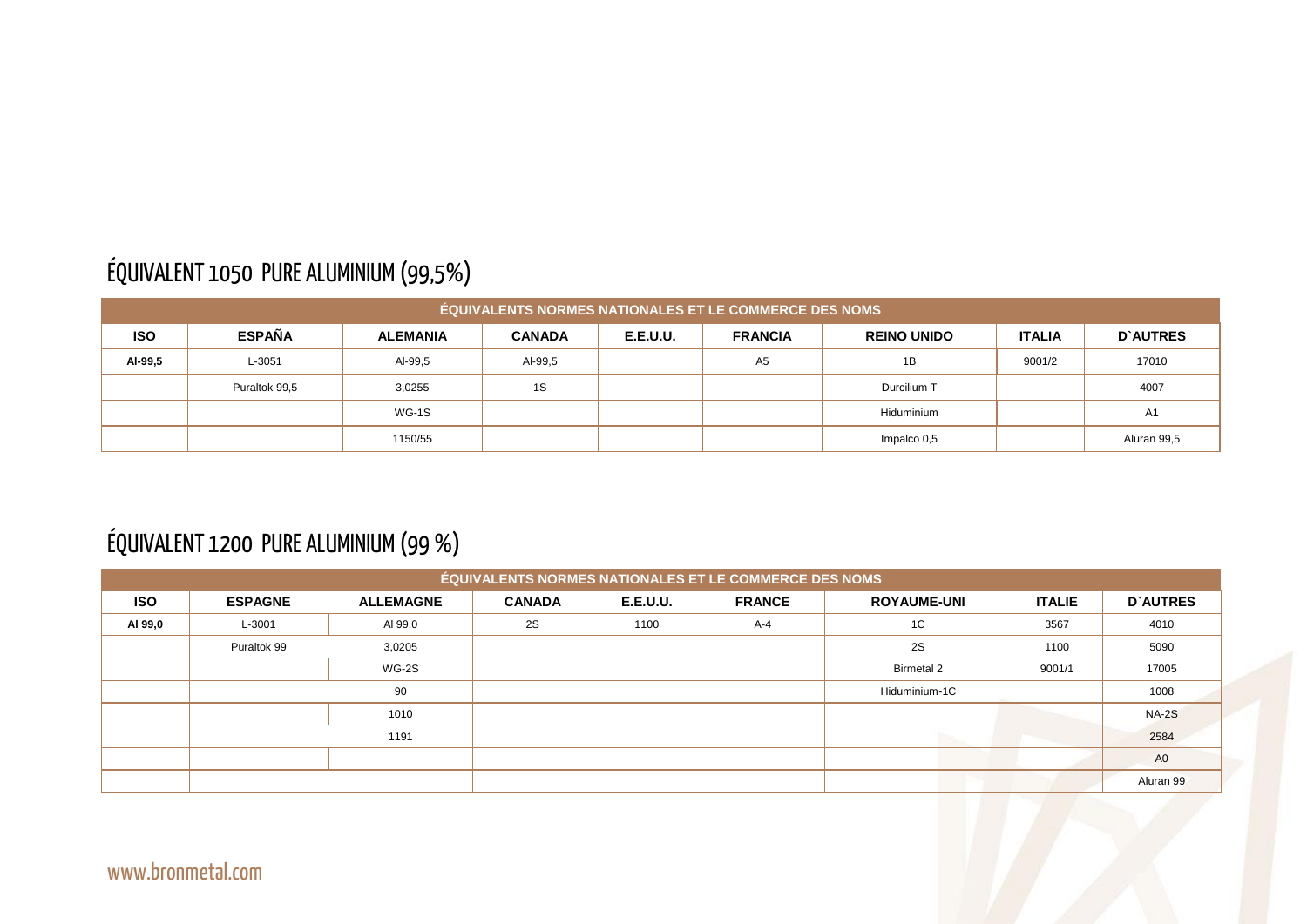## ÉQUIVALENT 1050 PURE ALUMINIUM (99,5%)

|            | <b>ÉQUIVALENTS NORMES NATIONALES ET LE COMMERCE DES NOMS</b> |                 |               |                 |                |                    |               |                 |  |  |  |  |
|------------|--------------------------------------------------------------|-----------------|---------------|-----------------|----------------|--------------------|---------------|-----------------|--|--|--|--|
| <b>ISO</b> | <b>ESPAÑA</b>                                                | <b>ALEMANIA</b> | <b>CANADA</b> | <b>E.E.U.U.</b> | <b>FRANCIA</b> | <b>REINO UNIDO</b> | <b>ITALIA</b> | <b>D'AUTRES</b> |  |  |  |  |
| AI-99,5    | L-3051                                                       | AI-99,5         | Al-99,5       |                 | A <sub>5</sub> | 1B                 | 9001/2        | 17010           |  |  |  |  |
|            | Puraltok 99,5                                                | 3,0255          | 1S            |                 |                | Durcilium T        |               | 4007            |  |  |  |  |
|            |                                                              | WG-1S           |               |                 |                | Hiduminium         |               | A <sub>1</sub>  |  |  |  |  |
|            |                                                              | 1150/55         |               |                 |                | Impalco 0,5        |               | Aluran 99,5     |  |  |  |  |

#### ÉQUIVALENT 1200 PURE ALUMINIUM (99 %)

|            |                |                  |               |                 | <b>ÉQUIVALENTS NORMES NATIONALES ET LE COMMERCE DES NOMS</b> |                    |               |                 |
|------------|----------------|------------------|---------------|-----------------|--------------------------------------------------------------|--------------------|---------------|-----------------|
| <b>ISO</b> | <b>ESPAGNE</b> | <b>ALLEMAGNE</b> | <b>CANADA</b> | <b>E.E.U.U.</b> | <b>FRANCE</b>                                                | <b>ROYAUME-UNI</b> | <b>ITALIE</b> | <b>D'AUTRES</b> |
| AI 99,0    | L-3001         | AI 99,0          | 2S            | 1100            | $A-4$                                                        | 1C                 | 3567          | 4010            |
|            | Puraltok 99    | 3,0205           |               |                 |                                                              | 2S                 | 1100          | 5090            |
|            |                | WG-2S            |               |                 |                                                              | <b>Birmetal 2</b>  | 9001/1        | 17005           |
|            |                | 90               |               |                 |                                                              | Hiduminium-1C      |               | 1008            |
|            |                | 1010             |               |                 |                                                              |                    |               | <b>NA-2S</b>    |
|            |                | 1191             |               |                 |                                                              |                    |               | 2584            |
|            |                |                  |               |                 |                                                              |                    |               | A <sub>0</sub>  |
|            |                |                  |               |                 |                                                              |                    |               | Aluran 99       |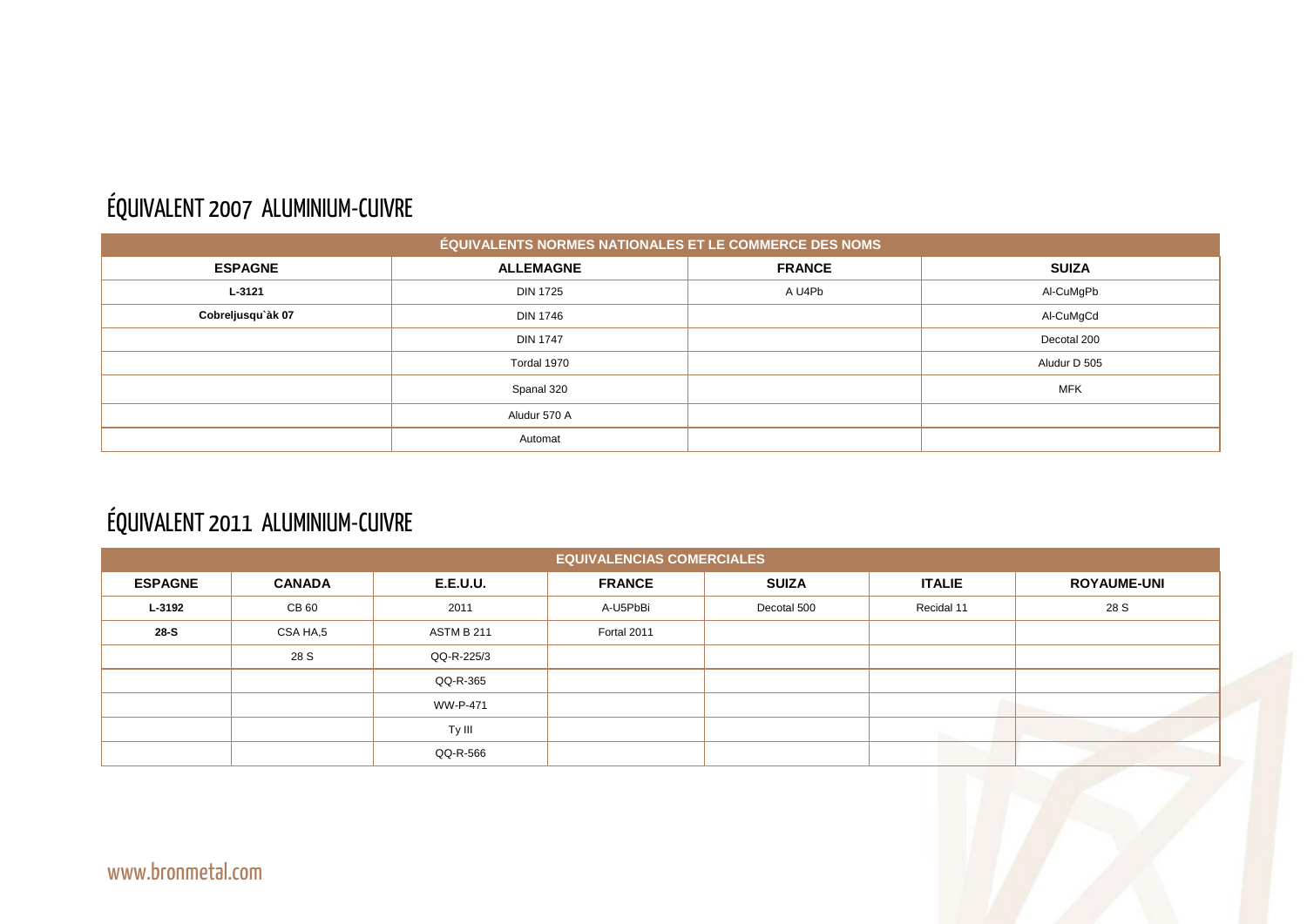## ÉQUIVALENT 2007 ALUMINIUM-CUIVRE

|                   | ÉQUIVALENTS NORMES NATIONALES ET LE COMMERCE DES NOMS |               |
|-------------------|-------------------------------------------------------|---------------|
| <b>ESPAGNE</b>    | <b>ALLEMAGNE</b>                                      | <b>FRANCE</b> |
| L-3121            | <b>DIN 1725</b>                                       | A U4Pb        |
| Cobreljusqu'àk 07 | <b>DIN 1746</b>                                       |               |
|                   | <b>DIN 1747</b>                                       |               |
|                   | Tordal 1970                                           |               |
|                   | Spanal 320                                            |               |
|                   | Aludur 570 A                                          |               |
|                   | Automat                                               |               |

## ÉQUIVALENT 2011 ALUMINIUM-CUIVRE

| <b>EQUIVALENCIAS COMERCIALES</b> |               |                   |               |              |               |                    |  |  |  |  |  |
|----------------------------------|---------------|-------------------|---------------|--------------|---------------|--------------------|--|--|--|--|--|
| <b>ESPAGNE</b>                   | <b>CANADA</b> | <b>E.E.U.U.</b>   | <b>FRANCE</b> | <b>SUIZA</b> | <b>ITALIE</b> | <b>ROYAUME-UNI</b> |  |  |  |  |  |
| L-3192                           | CB 60         | 2011              | A-U5PbBi      | Decotal 500  | Recidal 11    | 28 S               |  |  |  |  |  |
| 28-S                             | CSA HA,5      | <b>ASTM B 211</b> | Fortal 2011   |              |               |                    |  |  |  |  |  |
|                                  | 28 S          | QQ-R-225/3        |               |              |               |                    |  |  |  |  |  |
|                                  |               | QQ-R-365          |               |              |               |                    |  |  |  |  |  |
|                                  |               | <b>WW-P-471</b>   |               |              |               |                    |  |  |  |  |  |
|                                  |               | Ty III            |               |              |               |                    |  |  |  |  |  |
|                                  |               | QQ-R-566          |               |              |               |                    |  |  |  |  |  |

| <b>SUIZA</b> |  |
|--------------|--|
| Al-CuMgPb    |  |
| Al-CuMgCd    |  |
| Decotal 200  |  |
| Aludur D 505 |  |
| <b>MFK</b>   |  |
|              |  |
|              |  |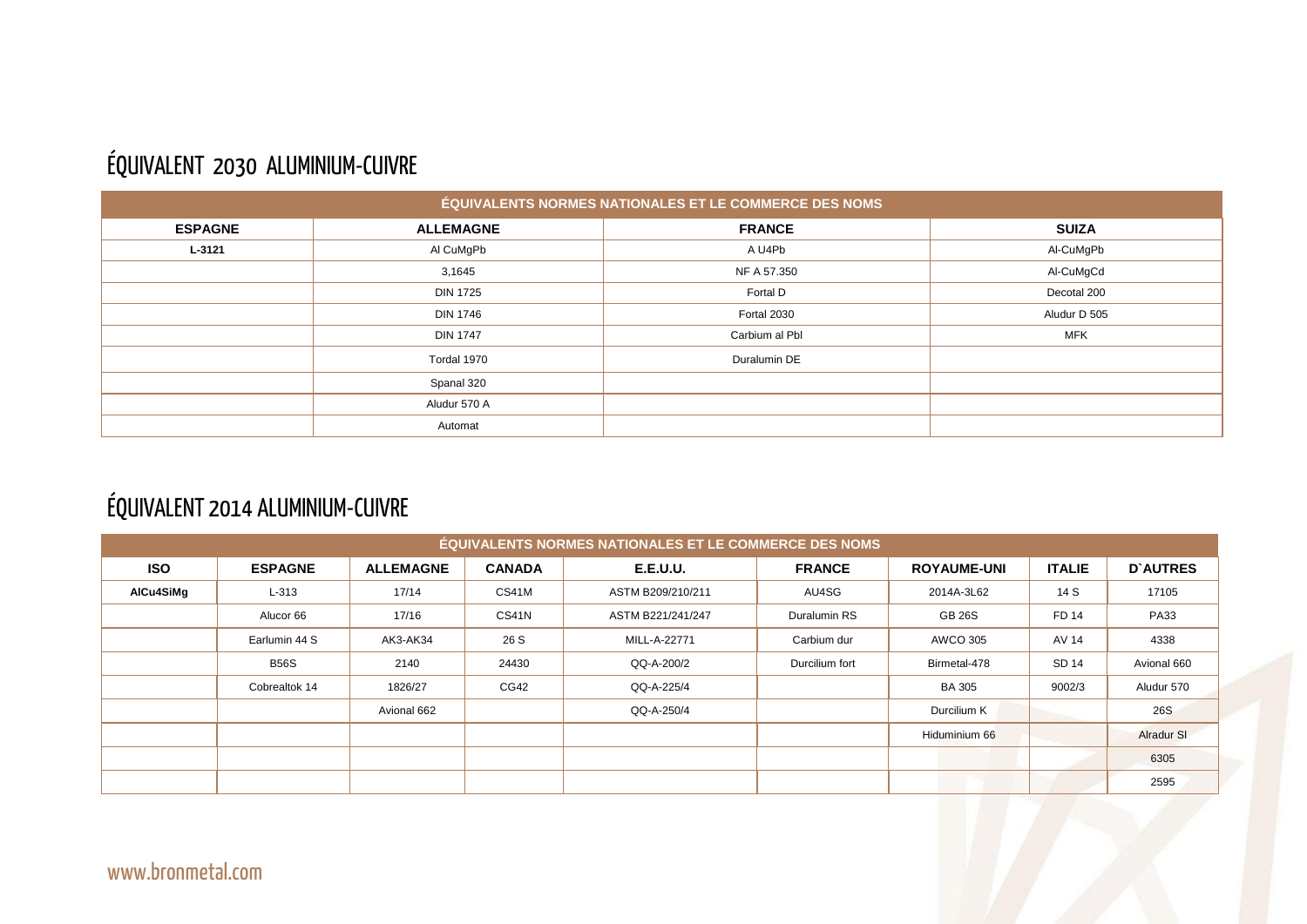#### ÉQUIVALENT 2030 ALUMINIUM-CUIVRE

| ÉQUIVALENTS NORMES NATIONALES ET LE COMMERCE DES NOMS |                  |                |              |  |  |  |  |  |  |
|-------------------------------------------------------|------------------|----------------|--------------|--|--|--|--|--|--|
| <b>ESPAGNE</b>                                        | <b>ALLEMAGNE</b> | <b>FRANCE</b>  | <b>SUIZA</b> |  |  |  |  |  |  |
| $L - 3121$                                            | Al CuMgPb        | A U4Pb         | Al-CuMgPb    |  |  |  |  |  |  |
|                                                       | 3,1645           | NF A 57.350    | Al-CuMgCd    |  |  |  |  |  |  |
|                                                       | <b>DIN 1725</b>  | Fortal D       | Decotal 200  |  |  |  |  |  |  |
|                                                       | <b>DIN 1746</b>  | Fortal 2030    | Aludur D 505 |  |  |  |  |  |  |
|                                                       | <b>DIN 1747</b>  | Carbium al Pbl | <b>MFK</b>   |  |  |  |  |  |  |
|                                                       | Tordal 1970      | Duralumin DE   |              |  |  |  |  |  |  |
|                                                       | Spanal 320       |                |              |  |  |  |  |  |  |
|                                                       | Aludur 570 A     |                |              |  |  |  |  |  |  |
|                                                       | Automat          |                |              |  |  |  |  |  |  |

## ÉQUIVALENT 2014 ALUMINIUM-CUIVRE

| <b>ÉQUIVALENTS NORMES NATIONALES ET LE COMMERCE DES NOMS</b> |                |                  |               |                   |                |                    |               |                   |  |  |  |  |
|--------------------------------------------------------------|----------------|------------------|---------------|-------------------|----------------|--------------------|---------------|-------------------|--|--|--|--|
| <b>ISO</b>                                                   | <b>ESPAGNE</b> | <b>ALLEMAGNE</b> | <b>CANADA</b> | <b>E.E.U.U.</b>   | <b>FRANCE</b>  | <b>ROYAUME-UNI</b> | <b>ITALIE</b> | <b>D'AUTRES</b>   |  |  |  |  |
| AlCu4SiMg                                                    | $L-313$        | 17/14            | CS41M         | ASTM B209/210/211 | AU4SG          | 2014A-3L62         | 14 S          | 17105             |  |  |  |  |
|                                                              | Alucor 66      | 17/16            | <b>CS41N</b>  | ASTM B221/241/247 | Duralumin RS   | <b>GB 26S</b>      | <b>FD 14</b>  | <b>PA33</b>       |  |  |  |  |
|                                                              | Earlumin 44 S  | AK3-AK34         | 26 S          | MILL-A-22771      | Carbium dur    | <b>AWCO 305</b>    | <b>AV 14</b>  | 4338              |  |  |  |  |
|                                                              | <b>B56S</b>    | 2140             | 24430         | QQ-A-200/2        | Durcilium fort | Birmetal-478       | <b>SD 14</b>  | Avional 660       |  |  |  |  |
|                                                              | Cobrealtok 14  | 1826/27          | CG42          | QQ-A-225/4        |                | <b>BA 305</b>      | 9002/3        | Aludur 570        |  |  |  |  |
|                                                              |                | Avional 662      |               | QQ-A-250/4        |                | Durcilium K        |               | 26S               |  |  |  |  |
|                                                              |                |                  |               |                   |                | Hiduminium 66      |               | <b>Alradur SI</b> |  |  |  |  |
|                                                              |                |                  |               |                   |                |                    |               | 6305              |  |  |  |  |
|                                                              |                |                  |               |                   |                |                    |               | 2595              |  |  |  |  |

www.bronmetal.com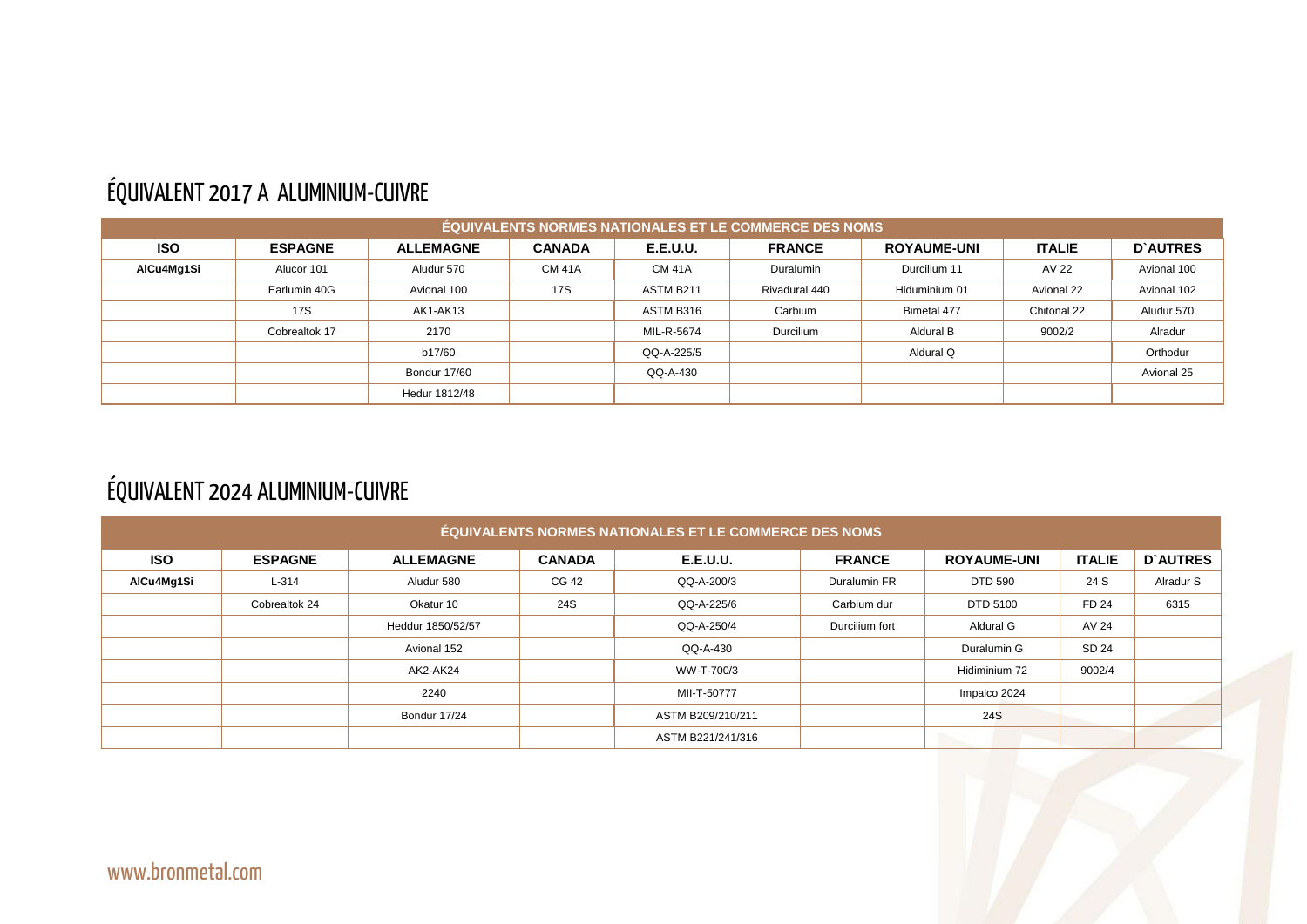#### ÉQUIVALENT 2017 A ALUMINIUM-CUIVRE

|            | <b>ÉQUIVALENTS NORMES NATIONALES ET LE COMMERCE DES NOMS</b> |                  |               |                 |               |                    |               |                 |  |  |  |  |  |
|------------|--------------------------------------------------------------|------------------|---------------|-----------------|---------------|--------------------|---------------|-----------------|--|--|--|--|--|
| <b>ISO</b> | <b>ESPAGNE</b>                                               | <b>ALLEMAGNE</b> | <b>CANADA</b> | <b>E.E.U.U.</b> | <b>FRANCE</b> | <b>ROYAUME-UNI</b> | <b>ITALIE</b> | <b>D'AUTRES</b> |  |  |  |  |  |
| AlCu4Mg1Si | Alucor 101                                                   | Aludur 570       | <b>CM 41A</b> | <b>CM 41A</b>   | Duralumin     | Durcilium 11       | AV 22         | Avional 100     |  |  |  |  |  |
|            | Earlumin 40G                                                 | Avional 100      | <b>17S</b>    | ASTM B211       | Rivadural 440 | Hiduminium 01      | Avional 22    | Avional 102     |  |  |  |  |  |
|            | <b>17S</b>                                                   | <b>AK1-AK13</b>  |               | ASTM B316       | Carbium       | Bimetal 477        | Chitonal 22   | Aludur 570      |  |  |  |  |  |
|            | Cobrealtok 17                                                | 2170             |               | MIL-R-5674      | Durcilium     | Aldural B          | 9002/2        | Alradur         |  |  |  |  |  |
|            |                                                              | b17/60           |               | QQ-A-225/5      |               | Aldural Q          |               | Orthodur        |  |  |  |  |  |
|            |                                                              | Bondur 17/60     |               | QQ-A-430        |               |                    |               | Avional 25      |  |  |  |  |  |
|            |                                                              | Hedur 1812/48    |               |                 |               |                    |               |                 |  |  |  |  |  |

## ÉQUIVALENT 2024 ALUMINIUM-CUIVRE

|            | <b>ÉQUIVALENTS NORMES NATIONALES ET LE COMMERCE DES NOMS</b> |                   |               |                   |                |                    |               |                 |  |  |  |  |  |
|------------|--------------------------------------------------------------|-------------------|---------------|-------------------|----------------|--------------------|---------------|-----------------|--|--|--|--|--|
| <b>ISO</b> | <b>ESPAGNE</b>                                               | <b>ALLEMAGNE</b>  | <b>CANADA</b> | <b>E.E.U.U.</b>   | <b>FRANCE</b>  | <b>ROYAUME-UNI</b> | <b>ITALIE</b> | <b>D'AUTRES</b> |  |  |  |  |  |
| AlCu4Mg1Si | $L-314$                                                      | Aludur 580        | CG 42         | QQ-A-200/3        | Duralumin FR   | <b>DTD 590</b>     | 24 S          | Alradur S       |  |  |  |  |  |
|            | Cobrealtok 24                                                | Okatur 10         | 24S           | QQ-A-225/6        | Carbium dur    | <b>DTD 5100</b>    | <b>FD 24</b>  | 6315            |  |  |  |  |  |
|            |                                                              | Heddur 1850/52/57 |               | QQ-A-250/4        | Durcilium fort | Aldural G          | AV 24         |                 |  |  |  |  |  |
|            |                                                              | Avional 152       |               | QQ-A-430          |                | Duralumin G        | SD 24         |                 |  |  |  |  |  |
|            |                                                              | AK2-AK24          |               | WW-T-700/3        |                | Hidiminium 72      | 9002/4        |                 |  |  |  |  |  |
|            |                                                              | 2240              |               | MII-T-50777       |                | Impalco 2024       |               |                 |  |  |  |  |  |
|            |                                                              | Bondur 17/24      |               | ASTM B209/210/211 |                | 24S                |               |                 |  |  |  |  |  |
|            |                                                              |                   |               | ASTM B221/241/316 |                |                    |               |                 |  |  |  |  |  |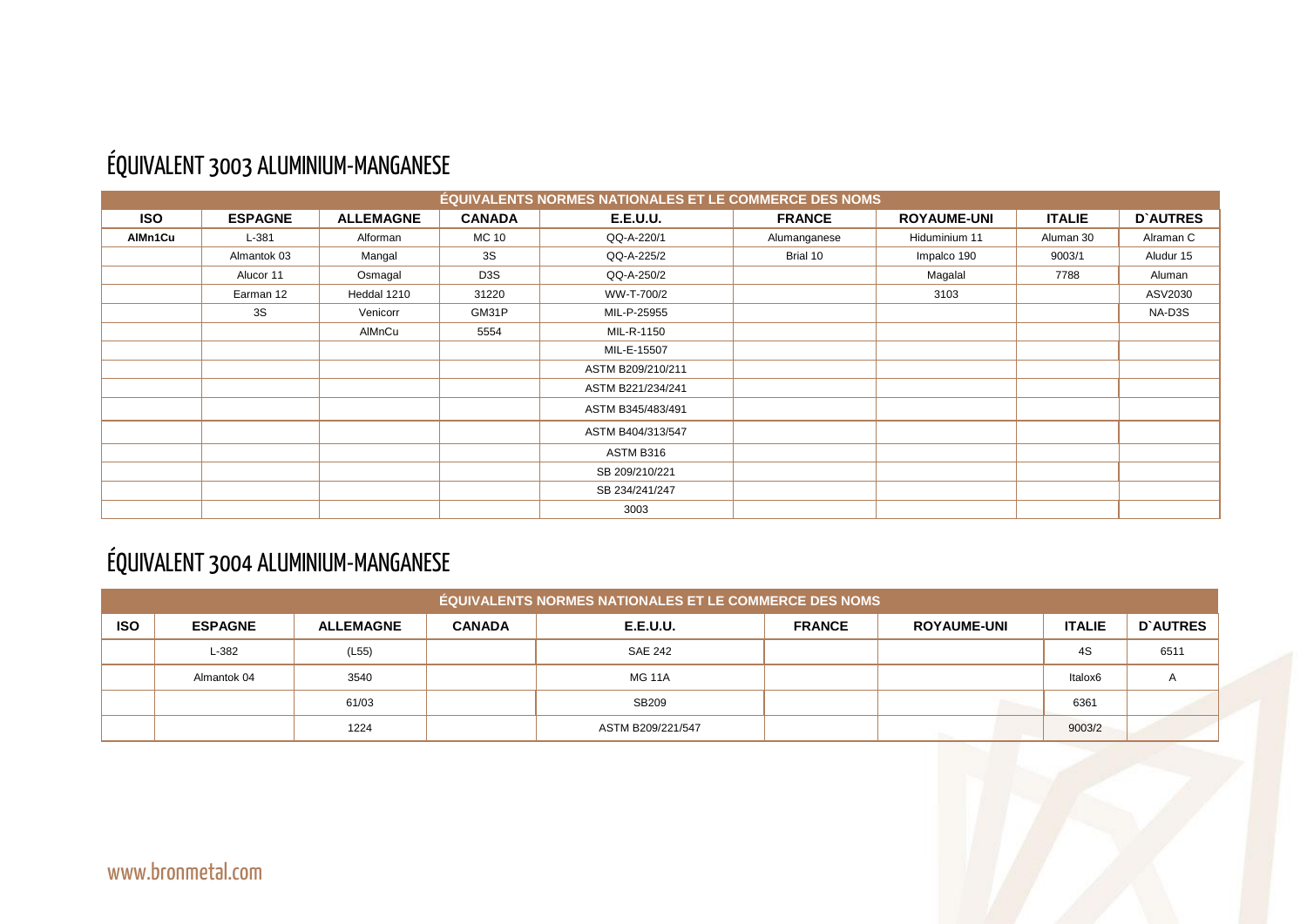## ÉQUIVALENT 3003 ALUMINIUM-MANGANESE

|            |                |                  |                  | <b>ÉQUIVALENTS NORMES NATIONALES ET LE COMMERCE DES NOMS</b> |               |                    |               |                 |
|------------|----------------|------------------|------------------|--------------------------------------------------------------|---------------|--------------------|---------------|-----------------|
| <b>ISO</b> | <b>ESPAGNE</b> | <b>ALLEMAGNE</b> | <b>CANADA</b>    | <b>E.E.U.U.</b>                                              | <b>FRANCE</b> | <b>ROYAUME-UNI</b> | <b>ITALIE</b> | <b>D'AUTRES</b> |
| AlMn1Cu    | $L-381$        | Alforman         | <b>MC 10</b>     | QQ-A-220/1                                                   | Alumanganese  | Hiduminium 11      | Aluman 30     | Alraman C       |
|            | Almantok 03    | Mangal           | 3S               | QQ-A-225/2                                                   | Brial 10      | Impalco 190        | 9003/1        | Aludur 15       |
|            | Alucor 11      | Osmagal          | D <sub>3</sub> S | QQ-A-250/2                                                   |               | Magalal            | 7788          | Aluman          |
|            | Earman 12      | Heddal 1210      | 31220            | WW-T-700/2                                                   |               | 3103               |               | ASV2030         |
|            | 3S             | Venicorr         | GM31P            | MIL-P-25955                                                  |               |                    |               | NA-D3S          |
|            |                | AIMnCu           | 5554             | MIL-R-1150                                                   |               |                    |               |                 |
|            |                |                  |                  | MIL-E-15507                                                  |               |                    |               |                 |
|            |                |                  |                  | ASTM B209/210/211                                            |               |                    |               |                 |
|            |                |                  |                  | ASTM B221/234/241                                            |               |                    |               |                 |
|            |                |                  |                  | ASTM B345/483/491                                            |               |                    |               |                 |
|            |                |                  |                  | ASTM B404/313/547                                            |               |                    |               |                 |
|            |                |                  |                  | ASTM B316                                                    |               |                    |               |                 |
|            |                |                  |                  | SB 209/210/221                                               |               |                    |               |                 |
|            |                |                  |                  | SB 234/241/247                                               |               |                    |               |                 |
|            |                |                  |                  | 3003                                                         |               |                    |               |                 |

## ÉQUIVALENT 3004 ALUMINIUM-MANGANESE

|            | <b>ÉQUIVALENTS NORMES NATIONALES ET LE COMMERCE DES NOMS</b> |                  |               |                   |               |                    |               |                 |  |  |  |  |
|------------|--------------------------------------------------------------|------------------|---------------|-------------------|---------------|--------------------|---------------|-----------------|--|--|--|--|
| <b>ISO</b> | <b>ESPAGNE</b>                                               | <b>ALLEMAGNE</b> | <b>CANADA</b> | <b>E.E.U.U.</b>   | <b>FRANCE</b> | <b>ROYAUME-UNI</b> | <b>ITALIE</b> | <b>D'AUTRES</b> |  |  |  |  |
|            | L-382                                                        | (L55)            |               | <b>SAE 242</b>    |               |                    | 4S            | 6511            |  |  |  |  |
|            | Almantok 04                                                  | 3540             |               | <b>MG 11A</b>     |               |                    | Italox6       |                 |  |  |  |  |
|            |                                                              | 61/03            |               | SB209             |               |                    | 6361          |                 |  |  |  |  |
|            |                                                              | 1224             |               | ASTM B209/221/547 |               |                    | 9003/2        |                 |  |  |  |  |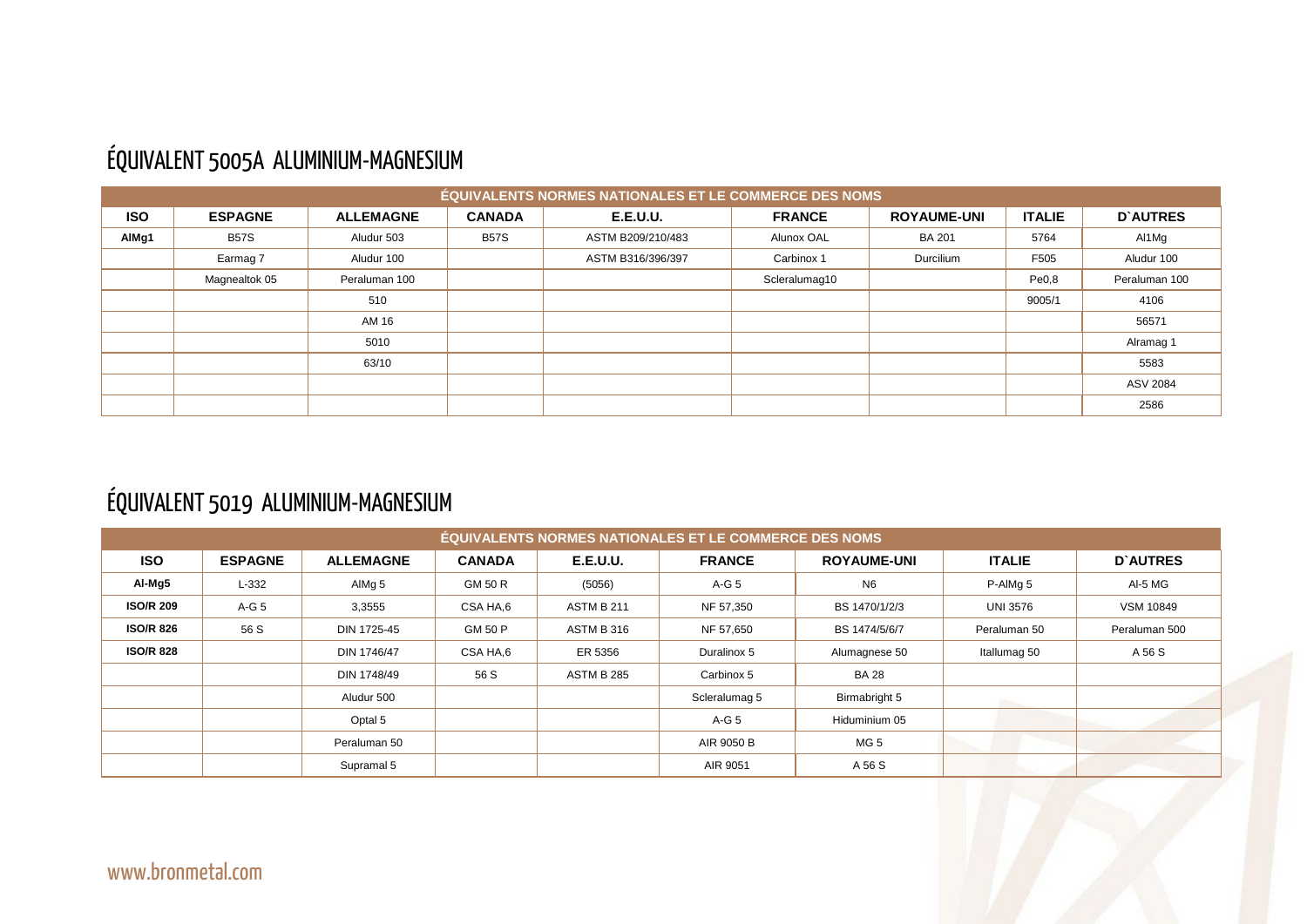#### ÉQUIVALENT 5005A ALUMINIUM-MAGNESIUM

|            | <b>ÉQUIVALENTS NORMES NATIONALES ET LE COMMERCE DES NOMS</b> |                  |               |                   |               |                    |               |                 |  |  |  |  |  |
|------------|--------------------------------------------------------------|------------------|---------------|-------------------|---------------|--------------------|---------------|-----------------|--|--|--|--|--|
| <b>ISO</b> | <b>ESPAGNE</b>                                               | <b>ALLEMAGNE</b> | <b>CANADA</b> | <b>E.E.U.U.</b>   | <b>FRANCE</b> | <b>ROYAUME-UNI</b> | <b>ITALIE</b> | <b>D'AUTRES</b> |  |  |  |  |  |
| AlMg1      | <b>B57S</b>                                                  | Aludur 503       | <b>B57S</b>   | ASTM B209/210/483 | Alunox OAL    | <b>BA 201</b>      | 5764          | Al1Mg           |  |  |  |  |  |
|            | Earmag 7                                                     | Aludur 100       |               | ASTM B316/396/397 | Carbinox 1    | Durcilium          | F505          | Aludur 100      |  |  |  |  |  |
|            | Magnealtok 05                                                | Peraluman 100    |               |                   | Scleralumag10 |                    | Pe0,8         | Peraluman 100   |  |  |  |  |  |
|            |                                                              | 510              |               |                   |               |                    | 9005/1        | 4106            |  |  |  |  |  |
|            |                                                              | AM 16            |               |                   |               |                    |               | 56571           |  |  |  |  |  |
|            |                                                              | 5010             |               |                   |               |                    |               | Alramag 1       |  |  |  |  |  |
|            |                                                              | 63/10            |               |                   |               |                    |               | 5583            |  |  |  |  |  |
|            |                                                              |                  |               |                   |               |                    |               | ASV 2084        |  |  |  |  |  |
|            |                                                              |                  |               |                   |               |                    |               | 2586            |  |  |  |  |  |

# ÉQUIVALENT 5019 ALUMINIUM-MAGNESIUM

|                  |                |                   |               |                   | <b>ÉQUIVALENTS NORMES NATIONALES ET LE COMMERCE DES NOMS</b> |                    |                 |                  |
|------------------|----------------|-------------------|---------------|-------------------|--------------------------------------------------------------|--------------------|-----------------|------------------|
| <b>ISO</b>       | <b>ESPAGNE</b> | <b>ALLEMAGNE</b>  | <b>CANADA</b> | <b>E.E.U.U.</b>   | <b>FRANCE</b>                                                | <b>ROYAUME-UNI</b> | <b>ITALIE</b>   | <b>D'AUTRES</b>  |
| Al-Mg5           | $L-332$        | AlMg <sub>5</sub> | GM 50 R       | (5056)            | A-G 5                                                        | N <sub>6</sub>     | P-AIMg 5        | Al-5 MG          |
| <b>ISO/R 209</b> | $A-G5$         | 3,3555            | CSA HA,6      | <b>ASTM B 211</b> | NF 57,350                                                    | BS 1470/1/2/3      | <b>UNI 3576</b> | <b>VSM 10849</b> |
| <b>ISO/R 826</b> | 56 S           | DIN 1725-45       | GM 50 P       | <b>ASTM B 316</b> | NF 57,650                                                    | BS 1474/5/6/7      | Peraluman 50    | Peraluman 500    |
| <b>ISO/R 828</b> |                | DIN 1746/47       | CSA HA,6      | ER 5356           | Duralinox 5                                                  | Alumagnese 50      | Itallumag 50    | A 56 S           |
|                  |                | DIN 1748/49       | 56 S          | <b>ASTM B 285</b> | Carbinox 5                                                   | <b>BA 28</b>       |                 |                  |
|                  |                | Aludur 500        |               |                   | Scleralumag 5                                                | Birmabright 5      |                 |                  |
|                  |                | Optal 5           |               |                   | $A-G5$                                                       | Hiduminium 05      |                 |                  |
|                  |                | Peraluman 50      |               |                   | AIR 9050 B                                                   | MG <sub>5</sub>    |                 |                  |
|                  |                | Supramal 5        |               |                   | AIR 9051                                                     | A 56 S             |                 |                  |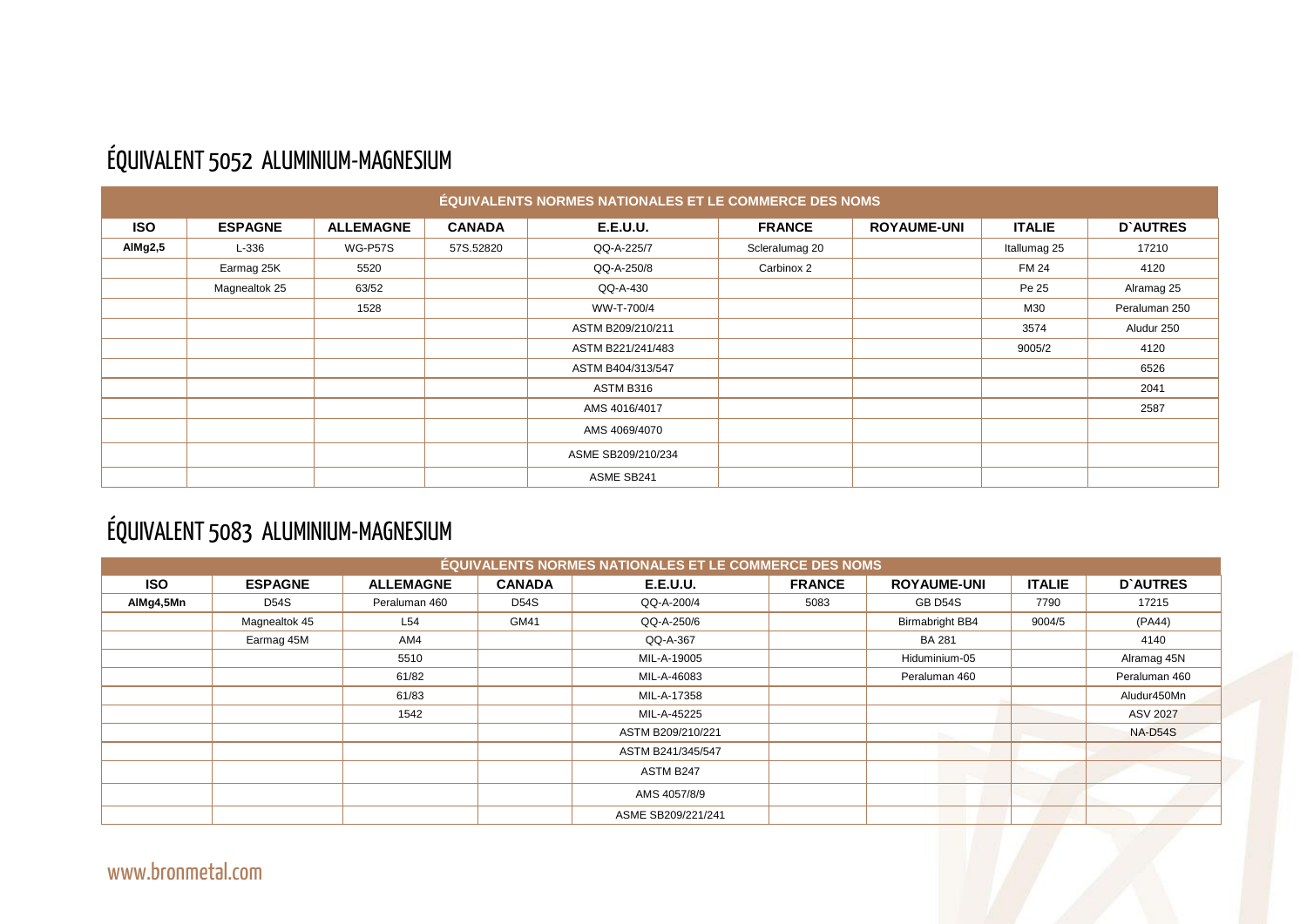

## ÉQUIVALENT 5052 ALUMINIUM-MAGNESIUM

|            |                |                  |               | <b>ÉQUIVALENTS NORMES NATIONALES ET LE COMMERCE DES NOMS</b> |                |                    |               |                 |
|------------|----------------|------------------|---------------|--------------------------------------------------------------|----------------|--------------------|---------------|-----------------|
| <b>ISO</b> | <b>ESPAGNE</b> | <b>ALLEMAGNE</b> | <b>CANADA</b> | <b>E.E.U.U.</b>                                              | <b>FRANCE</b>  | <b>ROYAUME-UNI</b> | <b>ITALIE</b> | <b>D'AUTRES</b> |
| AIMg2,5    | L-336          | WG-P57S          | 57S.52820     | QQ-A-225/7                                                   | Scleralumag 20 |                    | Itallumag 25  | 17210           |
|            | Earmag 25K     | 5520             |               | QQ-A-250/8                                                   | Carbinox 2     |                    | <b>FM 24</b>  | 4120            |
|            | Magnealtok 25  | 63/52            |               | QQ-A-430                                                     |                |                    | Pe 25         | Alramag 25      |
|            |                | 1528             |               | WW-T-700/4                                                   |                |                    | M30           | Peraluman 250   |
|            |                |                  |               | ASTM B209/210/211                                            |                |                    | 3574          | Aludur 250      |
|            |                |                  |               | ASTM B221/241/483                                            |                |                    | 9005/2        | 4120            |
|            |                |                  |               | ASTM B404/313/547                                            |                |                    |               | 6526            |
|            |                |                  |               | ASTM B316                                                    |                |                    |               | 2041            |
|            |                |                  |               | AMS 4016/4017                                                |                |                    |               | 2587            |
|            |                |                  |               | AMS 4069/4070                                                |                |                    |               |                 |
|            |                |                  |               | ASME SB209/210/234                                           |                |                    |               |                 |
|            |                |                  |               | ASME SB241                                                   |                |                    |               |                 |

## ÉQUIVALENT 5083 ALUMINIUM-MAGNESIUM

|            |                |                  |               | <b>ÉQUIVALENTS NORMES NATIONALES ET LE COMMERCE DES NOMS</b> |                         |                        |               |                 |
|------------|----------------|------------------|---------------|--------------------------------------------------------------|-------------------------|------------------------|---------------|-----------------|
| <b>ISO</b> | <b>ESPAGNE</b> | <b>ALLEMAGNE</b> | <b>CANADA</b> | <b>E.E.U.U.</b>                                              | <b>FRANCE</b>           | <b>ROYAUME-UNI</b>     | <b>ITALIE</b> | <b>D'AUTRES</b> |
| AIMg4,5Mn  | <b>D54S</b>    | Peraluman 460    | <b>D54S</b>   | QQ-A-200/4                                                   | 5083<br>7790<br>GB D54S |                        |               | 17215           |
|            | Magnealtok 45  | L54              | GM41          | QQ-A-250/6                                                   |                         | <b>Birmabright BB4</b> | 9004/5        | (PA44)          |
|            | Earmag 45M     | AM4              |               | QQ-A-367                                                     |                         | <b>BA 281</b>          |               | 4140            |
|            |                | 5510             |               | MIL-A-19005                                                  | Hiduminium-05           |                        | Alramag 45N   |                 |
|            |                | 61/82            |               | MIL-A-46083                                                  | Peraluman 460           |                        | Peraluman 460 |                 |
|            |                | 61/83            |               | MIL-A-17358                                                  |                         |                        | Aludur450Mn   |                 |
|            |                | 1542             |               | MIL-A-45225                                                  |                         |                        |               | <b>ASV 2027</b> |
|            |                |                  |               | ASTM B209/210/221                                            |                         |                        |               | <b>NA-D54S</b>  |
|            |                |                  |               | ASTM B241/345/547                                            |                         |                        |               |                 |
|            |                |                  |               | ASTM B247                                                    |                         |                        |               |                 |
|            |                |                  |               | AMS 4057/8/9                                                 |                         |                        |               |                 |
|            |                |                  |               | ASME SB209/221/241                                           |                         |                        |               |                 |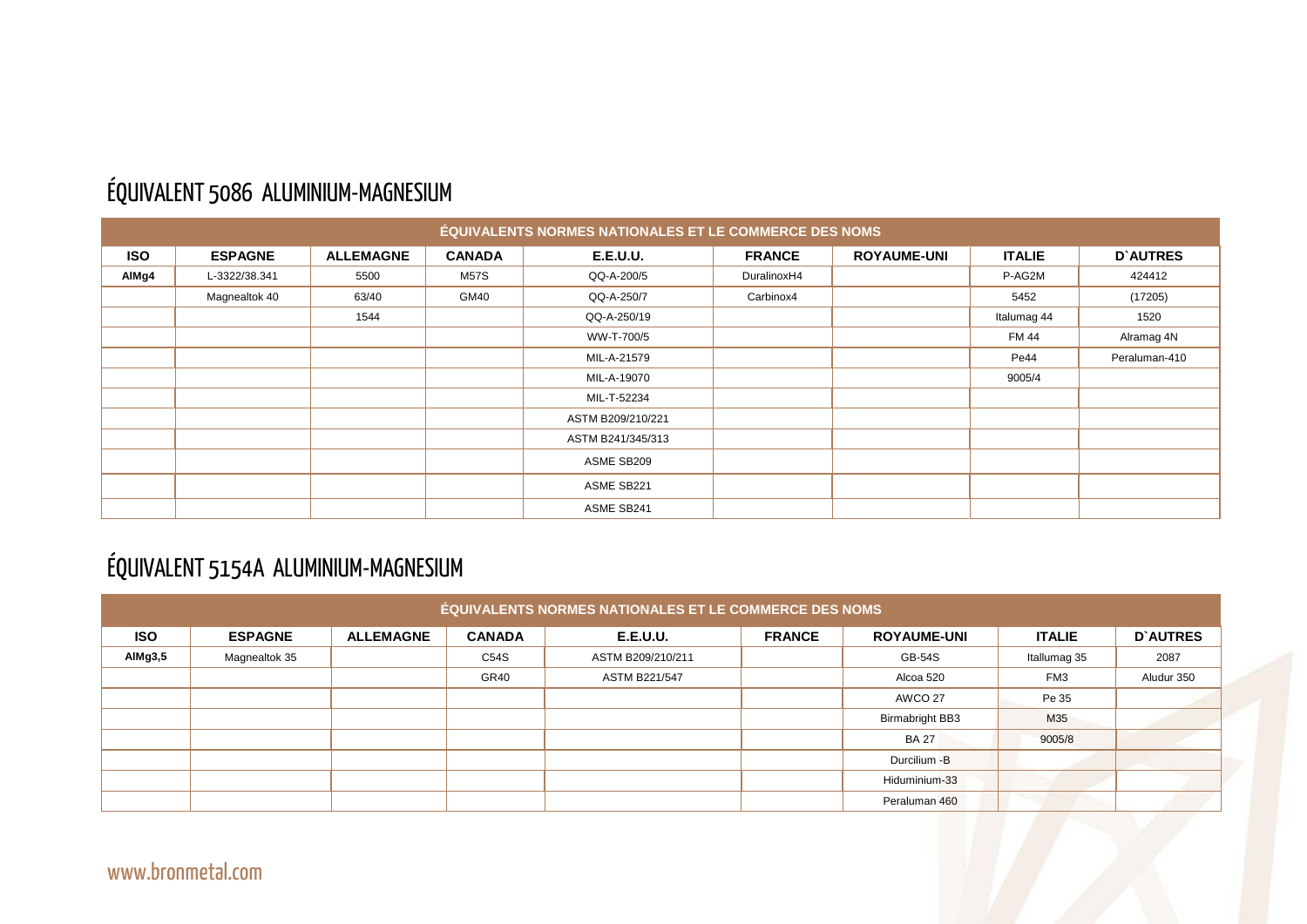#### ÉQUIVALENT 5086 ALUMINIUM-MAGNESIUM

|            |                |                  |               | <b>ÉQUIVALENTS NORMES NATIONALES ET LE COMMERCE DES NOMS</b> |               |                    |               |                 |
|------------|----------------|------------------|---------------|--------------------------------------------------------------|---------------|--------------------|---------------|-----------------|
| <b>ISO</b> | <b>ESPAGNE</b> | <b>ALLEMAGNE</b> | <b>CANADA</b> | <b>E.E.U.U.</b>                                              | <b>FRANCE</b> | <b>ROYAUME-UNI</b> | <b>ITALIE</b> | <b>D'AUTRES</b> |
| AIMg4      | L-3322/38.341  | 5500             | <b>M57S</b>   | QQ-A-200/5                                                   | DuralinoxH4   |                    | P-AG2M        | 424412          |
|            | Magnealtok 40  | 63/40            | GM40          | QQ-A-250/7                                                   | Carbinox4     |                    | 5452          | (17205)         |
|            |                | 1544             |               | QQ-A-250/19                                                  |               |                    | Italumag 44   | 1520            |
|            |                |                  |               | WW-T-700/5                                                   |               |                    | <b>FM 44</b>  | Alramag 4N      |
|            |                |                  |               | MIL-A-21579                                                  |               |                    | Pe44          | Peraluman-410   |
|            |                |                  |               | MIL-A-19070                                                  |               |                    | 9005/4        |                 |
|            |                |                  |               | MIL-T-52234                                                  |               |                    |               |                 |
|            |                |                  |               | ASTM B209/210/221                                            |               |                    |               |                 |
|            |                |                  |               | ASTM B241/345/313                                            |               |                    |               |                 |
|            |                |                  |               | ASME SB209                                                   |               |                    |               |                 |
|            |                |                  |               | ASME SB221                                                   |               |                    |               |                 |
|            |                |                  |               | ASME SB241                                                   |               |                    |               |                 |

## ÉQUIVALENT 5154A ALUMINIUM-MAGNESIUM

|            | <b>ÉQUIVALENTS NORMES NATIONALES ET LE COMMERCE DES NOMS</b> |                  |               |                      |               |                        |                 |                 |  |  |  |  |  |  |
|------------|--------------------------------------------------------------|------------------|---------------|----------------------|---------------|------------------------|-----------------|-----------------|--|--|--|--|--|--|
| <b>ISO</b> | <b>ESPAGNE</b>                                               | <b>ALLEMAGNE</b> | <b>CANADA</b> | <b>E.E.U.U.</b>      | <b>FRANCE</b> | <b>ROYAUME-UNI</b>     | <b>ITALIE</b>   | <b>D'AUTRES</b> |  |  |  |  |  |  |
| AIMg3,5    | Magnealtok 35                                                |                  | C54S          | ASTM B209/210/211    |               | <b>GB-54S</b>          | Itallumag 35    | 2087            |  |  |  |  |  |  |
|            |                                                              |                  | GR40          | <b>ASTM B221/547</b> |               | Alcoa 520              | FM <sub>3</sub> | Aludur 350      |  |  |  |  |  |  |
|            |                                                              |                  |               |                      |               | AWCO 27                | Pe 35           |                 |  |  |  |  |  |  |
|            |                                                              |                  |               |                      |               | <b>Birmabright BB3</b> | M35             |                 |  |  |  |  |  |  |
|            |                                                              |                  |               |                      |               | <b>BA 27</b>           | 9005/8          |                 |  |  |  |  |  |  |
|            |                                                              |                  |               |                      |               | Durcilium - B          |                 |                 |  |  |  |  |  |  |
|            |                                                              |                  |               |                      |               | Hiduminium-33          |                 |                 |  |  |  |  |  |  |
|            |                                                              |                  |               |                      |               | Peraluman 460          |                 |                 |  |  |  |  |  |  |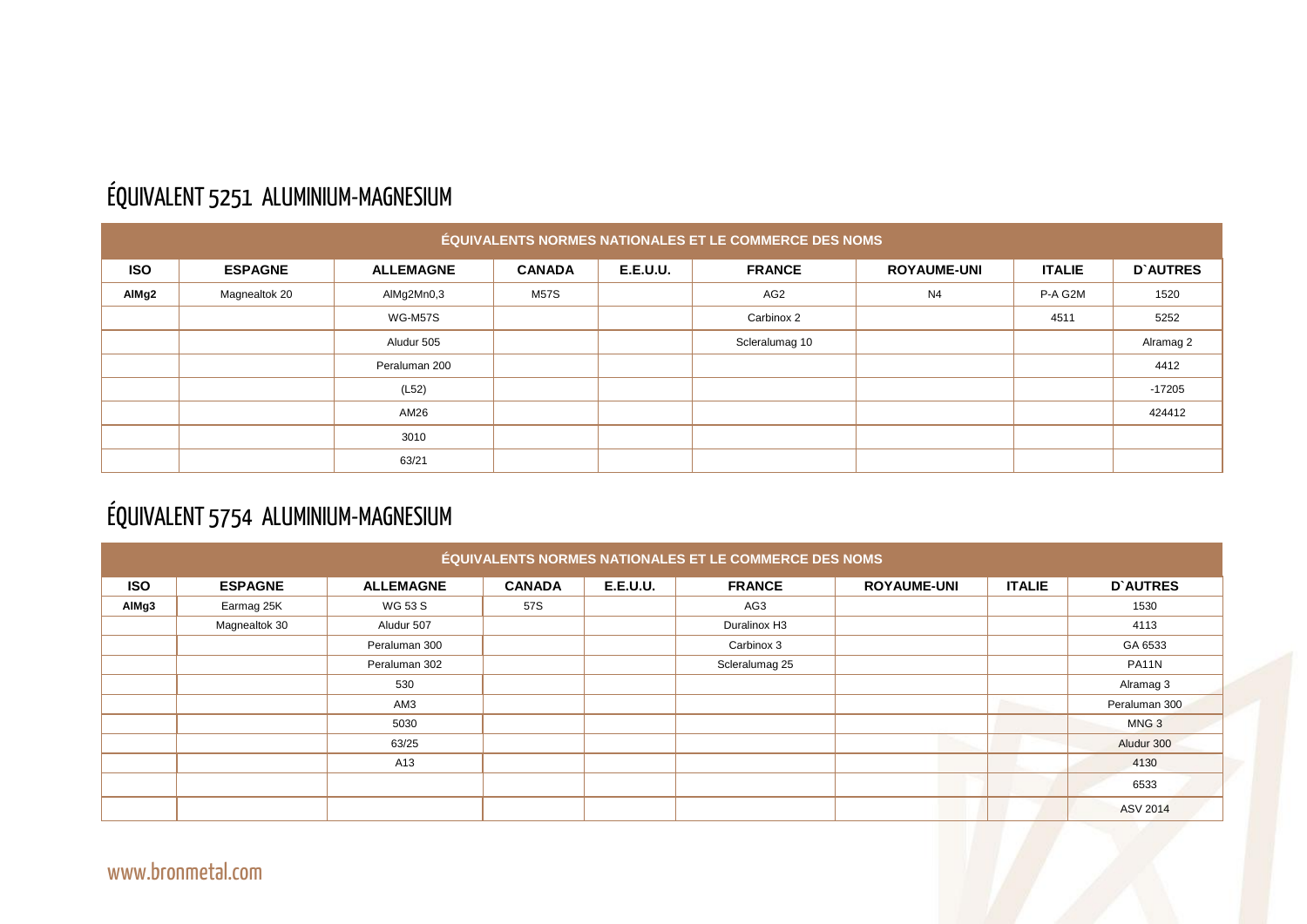#### ÉQUIVALENT 5251 ALUMINIUM-MAGNESIUM

|            | ÉQUIVALENTS NORMES NATIONALES ET LE COMMERCE DES NOMS |                  |               |                 |                 |                    |               |                 |  |  |  |
|------------|-------------------------------------------------------|------------------|---------------|-----------------|-----------------|--------------------|---------------|-----------------|--|--|--|
| <b>ISO</b> | <b>ESPAGNE</b>                                        | <b>ALLEMAGNE</b> | <b>CANADA</b> | <b>E.E.U.U.</b> | <b>FRANCE</b>   | <b>ROYAUME-UNI</b> | <b>ITALIE</b> | <b>D'AUTRES</b> |  |  |  |
| AlMg2      | Magnealtok 20                                         | AlMg2Mn0,3       | <b>M57S</b>   |                 | AG <sub>2</sub> | N <sub>4</sub>     | P-A G2M       | 1520            |  |  |  |
|            |                                                       | <b>WG-M57S</b>   |               |                 | Carbinox 2      |                    | 4511          | 5252            |  |  |  |
|            |                                                       | Aludur 505       |               |                 | Scleralumag 10  |                    |               | Alramag 2       |  |  |  |
|            |                                                       | Peraluman 200    |               |                 |                 |                    |               | 4412            |  |  |  |
|            |                                                       | (L52)            |               |                 |                 |                    |               | $-17205$        |  |  |  |
|            |                                                       | AM26             |               |                 |                 |                    |               | 424412          |  |  |  |
|            |                                                       | 3010             |               |                 |                 |                    |               |                 |  |  |  |
|            |                                                       | 63/21            |               |                 |                 |                    |               |                 |  |  |  |

#### ÉQUIVALENT 5754 ALUMINIUM-MAGNESIUM

|            |                |                  |               |                 | ÉQUIVALENTS NORMES NATIONALES ET LE COMMERCE DES NOMS |                    |               |                  |
|------------|----------------|------------------|---------------|-----------------|-------------------------------------------------------|--------------------|---------------|------------------|
| <b>ISO</b> | <b>ESPAGNE</b> | <b>ALLEMAGNE</b> | <b>CANADA</b> | <b>E.E.U.U.</b> | <b>FRANCE</b>                                         | <b>ROYAUME-UNI</b> | <b>ITALIE</b> | <b>D'AUTRES</b>  |
| AIMg3      | Earmag 25K     | <b>WG 53 S</b>   | 57S           |                 | AG3                                                   |                    |               | 1530             |
|            | Magnealtok 30  | Aludur 507       |               |                 | Duralinox H3                                          |                    |               | 4113             |
|            |                | Peraluman 300    |               |                 | Carbinox 3                                            |                    |               | GA 6533          |
|            |                | Peraluman 302    |               |                 | Scleralumag 25                                        |                    |               | PA11N            |
|            |                | 530              |               |                 |                                                       |                    |               | Alramag 3        |
|            |                | AM3              |               |                 |                                                       |                    |               | Peraluman 300    |
|            |                | 5030             |               |                 |                                                       |                    |               | MNG <sub>3</sub> |
|            |                | 63/25            |               |                 |                                                       |                    |               | Aludur 300       |
|            |                | A13              |               |                 |                                                       |                    |               | 4130             |
|            |                |                  |               |                 |                                                       |                    |               | 6533             |
|            |                |                  |               |                 |                                                       |                    |               | <b>ASV 2014</b>  |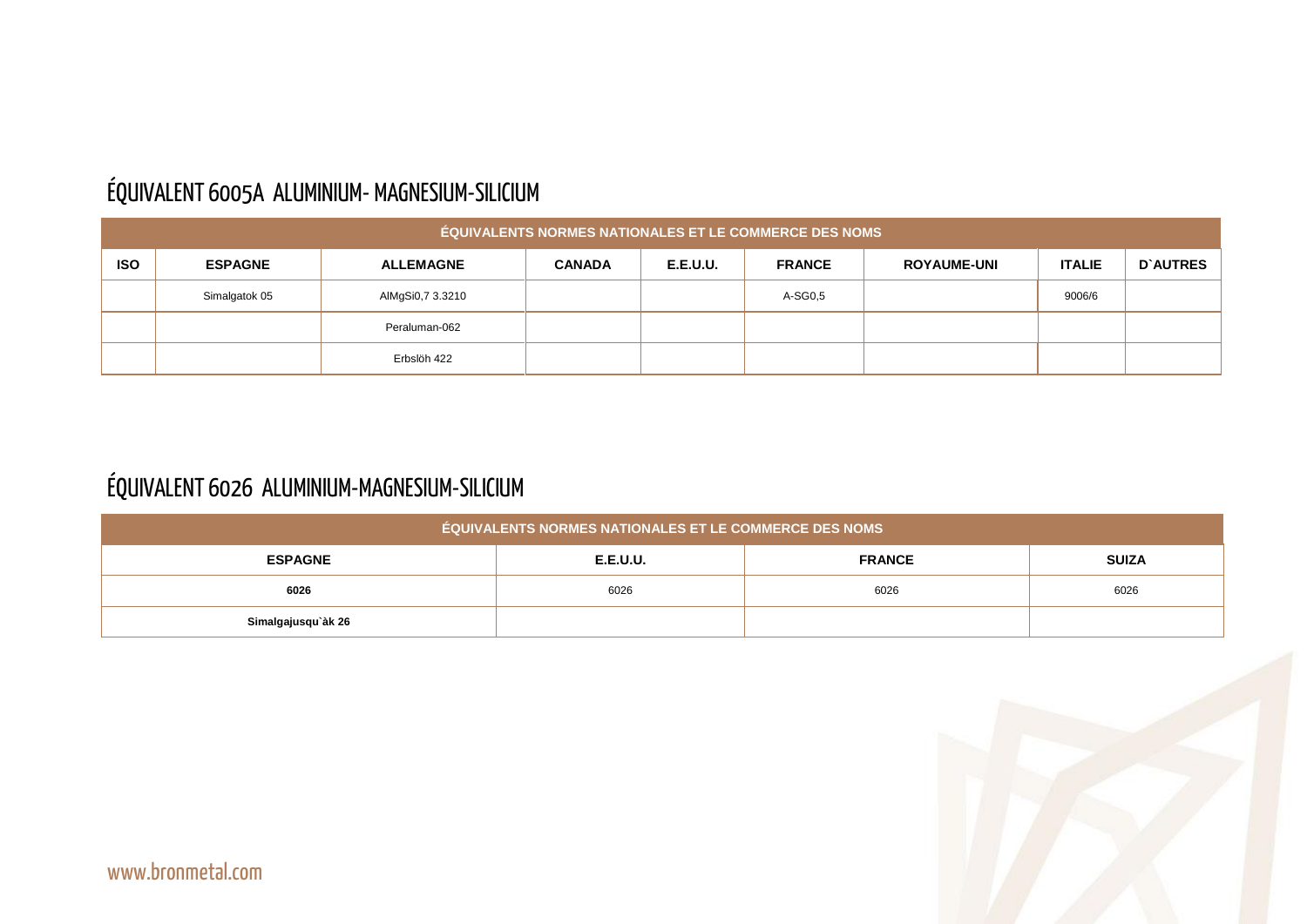#### ÉQUIVALENT 6005A ALUMINIUM- MAGNESIUM-SILICIUM

|            | <b>ÉQUIVALENTS NORMES NATIONALES ET LE COMMERCE DES NOMS</b> |                  |               |                 |               |                    |               |          |  |  |  |  |  |
|------------|--------------------------------------------------------------|------------------|---------------|-----------------|---------------|--------------------|---------------|----------|--|--|--|--|--|
| <b>ISO</b> | <b>ESPAGNE</b>                                               | <b>ALLEMAGNE</b> | <b>CANADA</b> | <b>E.E.U.U.</b> | <b>FRANCE</b> | <b>ROYAUME-UNI</b> | <b>ITALIE</b> | D'AUTRES |  |  |  |  |  |
|            | Simalgatok 05                                                | AlMgSi0,7 3.3210 |               |                 | A-SG0,5       |                    | 9006/6        |          |  |  |  |  |  |
|            |                                                              | Peraluman-062    |               |                 |               |                    |               |          |  |  |  |  |  |
|            |                                                              | Erbslöh 422      |               |                 |               |                    |               |          |  |  |  |  |  |

## ÉQUIVALENT 6026 ALUMINIUM-MAGNESIUM-SILICIUM

| <b>ÉQUIVALENTS NORMES NATIONALES ET LE COMMERCE DES NOMS</b> |                                                  |      |      |  |  |  |  |  |  |  |  |  |
|--------------------------------------------------------------|--------------------------------------------------|------|------|--|--|--|--|--|--|--|--|--|
| <b>ESPAGNE</b>                                               | <b>FRANCE</b><br><b>SUIZA</b><br><b>E.E.U.U.</b> |      |      |  |  |  |  |  |  |  |  |  |
| 6026                                                         | 6026                                             | 6026 | 6026 |  |  |  |  |  |  |  |  |  |
| Simalgajusqu`àk 26                                           |                                                  |      |      |  |  |  |  |  |  |  |  |  |



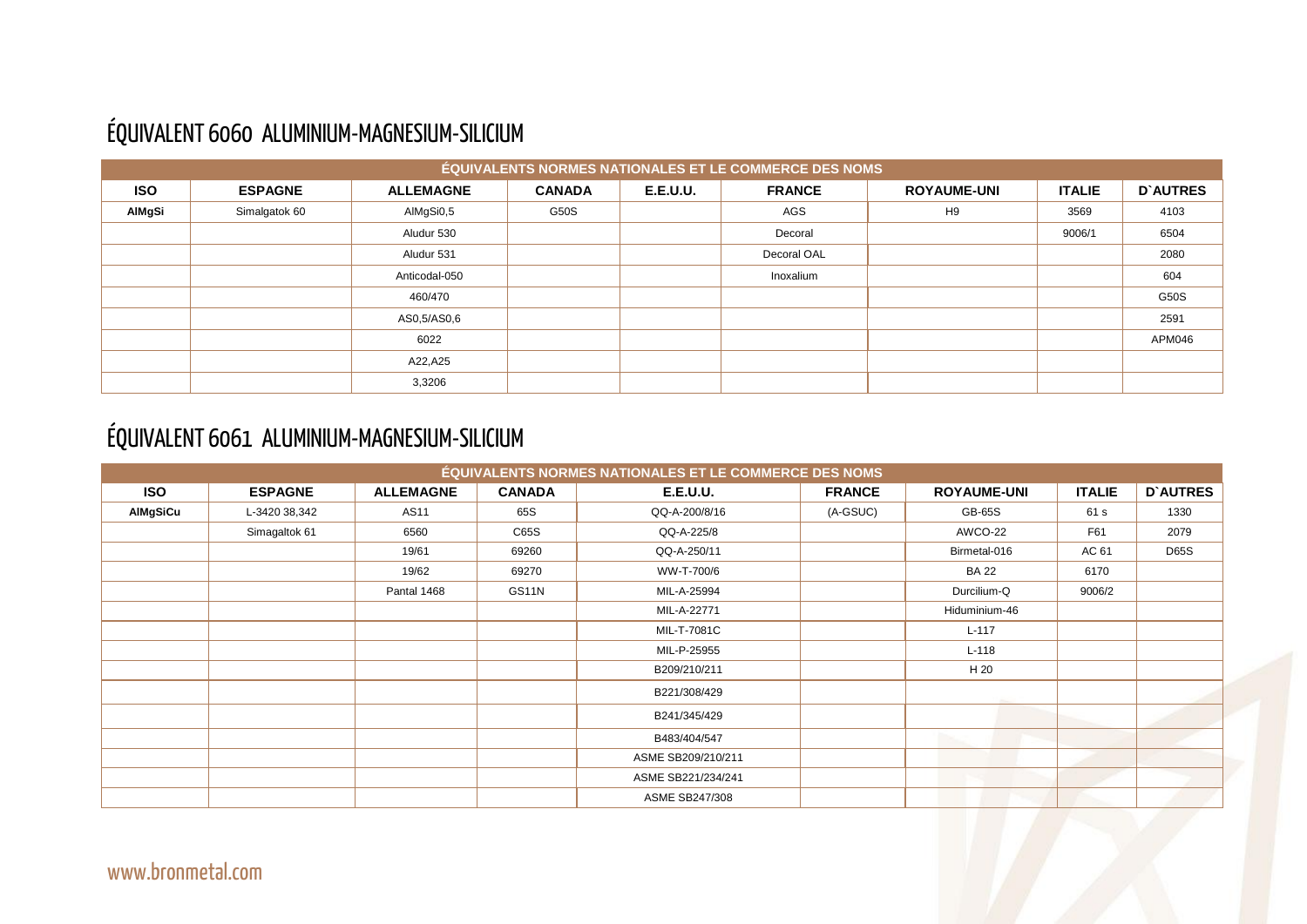

## ÉQUIVALENT 6060 ALUMINIUM-MAGNESIUM-SILICIUM

|               |                |                  |               |                 | ÉQUIVALENTS NORMES NATIONALES ET LE COMMERCE DES NOMS |                    |               |                 |
|---------------|----------------|------------------|---------------|-----------------|-------------------------------------------------------|--------------------|---------------|-----------------|
| <b>ISO</b>    | <b>ESPAGNE</b> | <b>ALLEMAGNE</b> | <b>CANADA</b> | <b>E.E.U.U.</b> | <b>FRANCE</b>                                         | <b>ROYAUME-UNI</b> | <b>ITALIE</b> | <b>D'AUTRES</b> |
| <b>AIMgSi</b> | Simalgatok 60  | AlMgSi0,5        | G50S          |                 | AGS                                                   | H <sub>9</sub>     | 3569          | 4103            |
|               |                | Aludur 530       |               |                 | Decoral                                               |                    | 9006/1        | 6504            |
|               |                | Aludur 531       |               |                 | Decoral OAL                                           |                    |               | 2080            |
|               |                | Anticodal-050    |               |                 | Inoxalium                                             |                    |               | 604             |
|               |                | 460/470          |               |                 |                                                       |                    |               | G50S            |
|               |                | AS0,5/AS0,6      |               |                 |                                                       |                    |               | 2591            |
|               |                | 6022             |               |                 |                                                       |                    |               | APM046          |
|               |                | A22,A25          |               |                 |                                                       |                    |               |                 |
|               |                | 3,3206           |               |                 |                                                       |                    |               |                 |

## ÉQUIVALENT 6061 ALUMINIUM-MAGNESIUM-SILICIUM

|                 |                |                  |               | <b>ÉQUIVALENTS NORMES NATIONALES ET LE COMMERCE DES NOMS</b> |               |                    |               |                 |
|-----------------|----------------|------------------|---------------|--------------------------------------------------------------|---------------|--------------------|---------------|-----------------|
| <b>ISO</b>      | <b>ESPAGNE</b> | <b>ALLEMAGNE</b> | <b>CANADA</b> | <b>E.E.U.U.</b>                                              | <b>FRANCE</b> | <b>ROYAUME-UNI</b> | <b>ITALIE</b> | <b>D'AUTRES</b> |
| <b>AIMgSiCu</b> | L-3420 38,342  | <b>AS11</b>      | 65S           | QQ-A-200/8/16                                                | (A-GSUC)      | <b>GB-65S</b>      | 61 s          | 1330            |
|                 | Simagaltok 61  | 6560             | C65S          | QQ-A-225/8                                                   |               | AWCO-22            | F61           | 2079            |
|                 |                | 19/61            | 69260         | QQ-A-250/11                                                  |               | Birmetal-016       | AC 61         | <b>D65S</b>     |
|                 |                | 19/62            | 69270         | WW-T-700/6                                                   |               | <b>BA 22</b>       | 6170          |                 |
|                 |                | Pantal 1468      | GS11N         | MIL-A-25994                                                  |               | Durcilium-Q        | 9006/2        |                 |
|                 |                |                  |               | MIL-A-22771                                                  |               | Hiduminium-46      |               |                 |
|                 |                |                  |               | MIL-T-7081C                                                  |               | $L-117$            |               |                 |
|                 |                |                  |               | MIL-P-25955                                                  |               | $L-118$            |               |                 |
|                 |                |                  |               | B209/210/211                                                 |               | H 20               |               |                 |
|                 |                |                  |               | B221/308/429                                                 |               |                    |               |                 |
|                 |                |                  |               | B241/345/429                                                 |               |                    |               |                 |
|                 |                |                  |               | B483/404/547                                                 |               |                    |               |                 |
|                 |                |                  |               | ASME SB209/210/211                                           |               |                    |               |                 |
|                 |                |                  |               | ASME SB221/234/241                                           |               |                    |               |                 |
|                 |                |                  |               | <b>ASME SB247/308</b>                                        |               |                    |               |                 |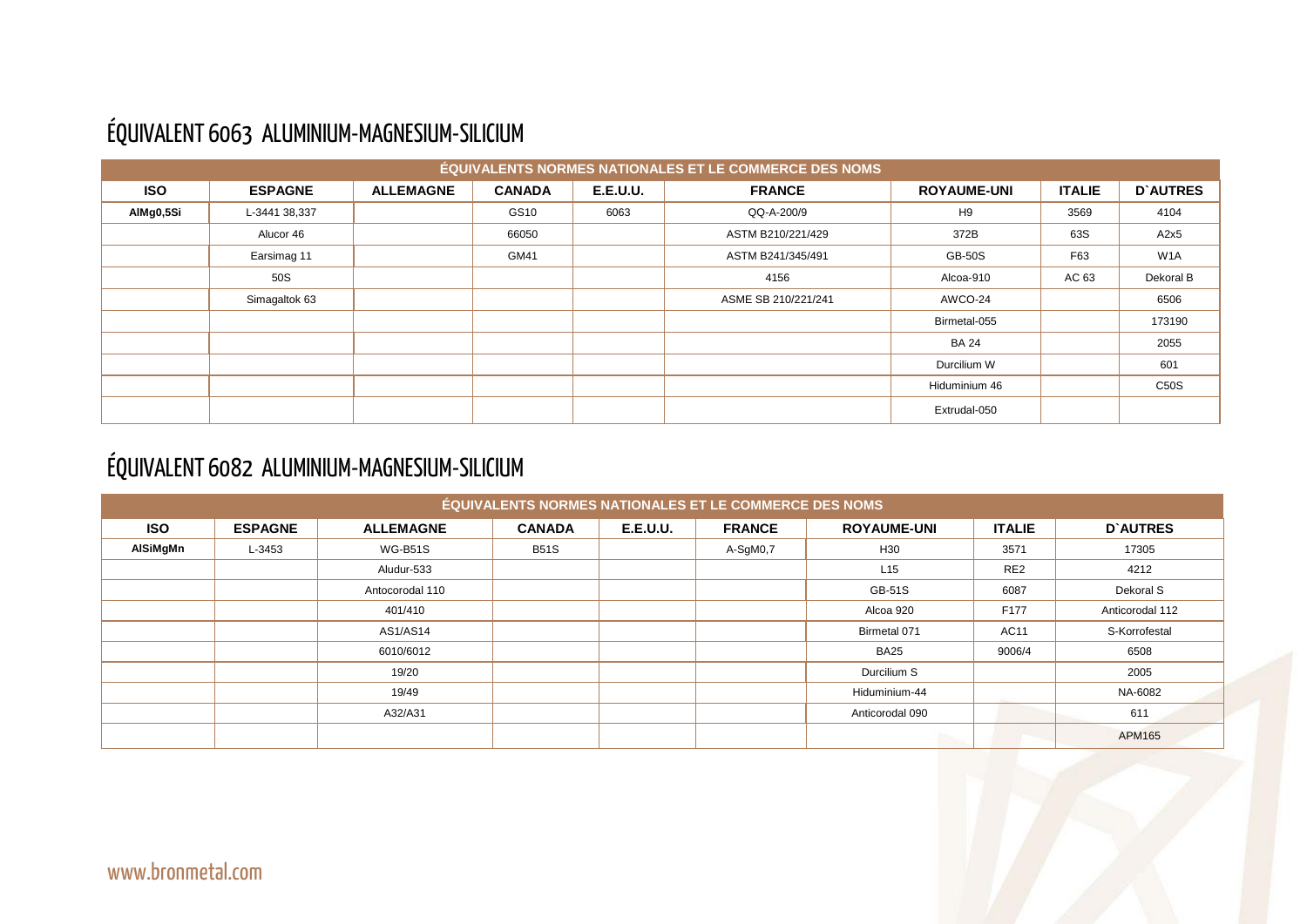#### ÉQUIVALENT 6063 ALUMINIUM-MAGNESIUM-SILICIUM

|            |                |                  |               |                 | ÉQUIVALENTS NORMES NATIONALES ET LE COMMERCE DES NOMS |                    |               |                  |
|------------|----------------|------------------|---------------|-----------------|-------------------------------------------------------|--------------------|---------------|------------------|
| <b>ISO</b> | <b>ESPAGNE</b> | <b>ALLEMAGNE</b> | <b>CANADA</b> | <b>E.E.U.U.</b> | <b>FRANCE</b>                                         | <b>ROYAUME-UNI</b> | <b>ITALIE</b> | <b>D'AUTRES</b>  |
| AlMg0,5Si  | L-3441 38,337  |                  | GS10          | 6063            | QQ-A-200/9                                            | H <sub>9</sub>     | 3569          | 4104             |
|            | Alucor 46      |                  | 66050         |                 | ASTM B210/221/429                                     | 372B               | 63S           | A2x5             |
|            | Earsimag 11    |                  | GM41          |                 | ASTM B241/345/491                                     | <b>GB-50S</b>      | F63           | W <sub>1</sub> A |
|            | 50S            |                  |               |                 | 4156                                                  | Alcoa-910          | AC 63         | Dekoral B        |
|            | Simagaltok 63  |                  |               |                 | ASME SB 210/221/241                                   | AWCO-24            |               | 6506             |
|            |                |                  |               |                 |                                                       | Birmetal-055       |               | 173190           |
|            |                |                  |               |                 |                                                       | <b>BA 24</b>       |               | 2055             |
|            |                |                  |               |                 |                                                       | Durcilium W        |               | 601              |
|            |                |                  |               |                 |                                                       | Hiduminium 46      |               | <b>C50S</b>      |
|            |                |                  |               |                 |                                                       | Extrudal-050       |               |                  |

#### ÉQUIVALENT 6082 ALUMINIUM-MAGNESIUM-SILICIUM

| ÉQUIVALENTS NORMES NATIONALES ET LE COMMERCE DES NOMS |                |                  |               |                 |               |                    |                 |                 |  |  |
|-------------------------------------------------------|----------------|------------------|---------------|-----------------|---------------|--------------------|-----------------|-----------------|--|--|
| <b>ISO</b>                                            | <b>ESPAGNE</b> | <b>ALLEMAGNE</b> | <b>CANADA</b> | <b>E.E.U.U.</b> | <b>FRANCE</b> | <b>ROYAUME-UNI</b> | <b>ITALIE</b>   | <b>D'AUTRES</b> |  |  |
| AlSiMgMn                                              | L-3453         | <b>WG-B51S</b>   | <b>B51S</b>   |                 | A-SgM0,7      | H <sub>30</sub>    | 3571            | 17305           |  |  |
|                                                       |                | Aludur-533       |               |                 |               | L15                | RE <sub>2</sub> | 4212            |  |  |
|                                                       |                | Antocorodal 110  |               |                 |               | <b>GB-51S</b>      | 6087            | Dekoral S       |  |  |
|                                                       |                | 401/410          |               |                 |               | Alcoa 920          | F177            | Anticorodal 112 |  |  |
|                                                       |                | <b>AS1/AS14</b>  |               |                 |               | Birmetal 071       | <b>AC11</b>     | S-Korrofestal   |  |  |
|                                                       |                | 6010/6012        |               |                 |               | <b>BA25</b>        | 9006/4          | 6508            |  |  |
|                                                       |                | 19/20            |               |                 |               | Durcilium S        |                 | 2005            |  |  |
|                                                       |                | 19/49            |               |                 |               | Hiduminium-44      |                 | NA-6082         |  |  |
|                                                       |                | A32/A31          |               |                 |               | Anticorodal 090    |                 | 611             |  |  |
|                                                       |                |                  |               |                 |               |                    |                 | <b>APM165</b>   |  |  |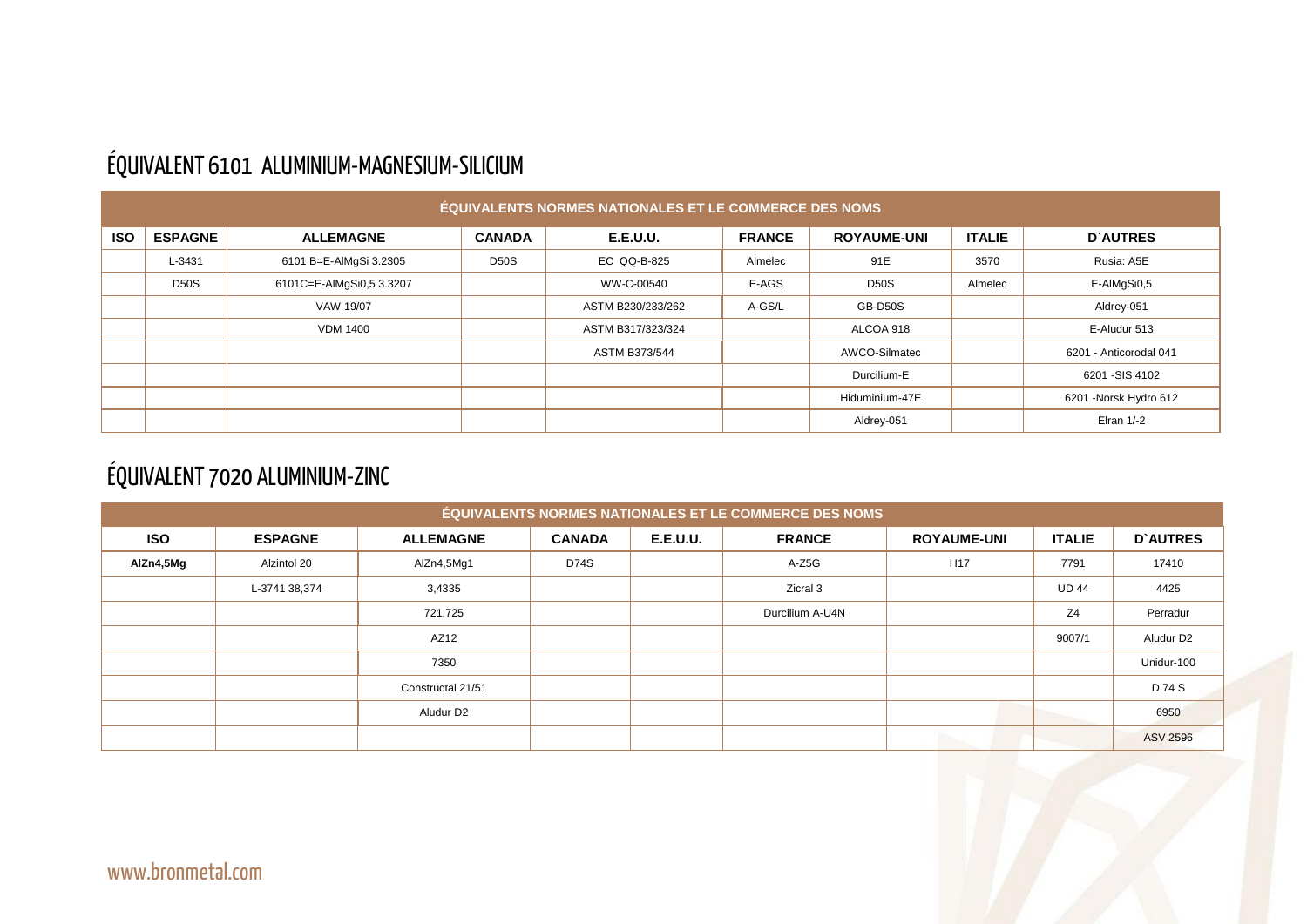## ÉQUIVALENT 6101 ALUMINIUM-MAGNESIUM-SILICIUM

| <b>ÉQUIVALENTS NORMES NATIONALES ET LE COMMERCE DES NOMS</b> |                |                          |               |                      |               |                    |               |                        |  |
|--------------------------------------------------------------|----------------|--------------------------|---------------|----------------------|---------------|--------------------|---------------|------------------------|--|
| <b>ISO</b>                                                   | <b>ESPAGNE</b> | <b>ALLEMAGNE</b>         | <b>CANADA</b> | <b>E.E.U.U.</b>      | <b>FRANCE</b> | <b>ROYAUME-UNI</b> | <b>ITALIE</b> | <b>D'AUTRES</b>        |  |
|                                                              | L-3431         | 6101 B=E-AlMgSi 3.2305   | <b>D50S</b>   | EC QQ-B-825          | Almelec       | 91E                | 3570          | Rusia: A5E             |  |
|                                                              | <b>D50S</b>    | 6101C=E-AlMgSi0,5 3.3207 |               | WW-C-00540           | E-AGS         | <b>D50S</b>        | Almelec       | E-AIMgSi0,5            |  |
|                                                              |                | VAW 19/07                |               | ASTM B230/233/262    | A-GS/L        | GB-D50S            |               | Aldrey-051             |  |
|                                                              |                | <b>VDM 1400</b>          |               | ASTM B317/323/324    |               | ALCOA 918          |               | E-Aludur 513           |  |
|                                                              |                |                          |               | <b>ASTM B373/544</b> |               | AWCO-Silmatec      |               | 6201 - Anticorodal 041 |  |
|                                                              |                |                          |               |                      |               | Durcilium-E        |               | 6201 - SIS 4102        |  |
|                                                              |                |                          |               |                      |               | Hiduminium-47E     |               | 6201 - Norsk Hydro 612 |  |
|                                                              |                |                          |               |                      |               | Aldrey-051         |               | Elran $1/-2$           |  |

#### ÉQUIVALENT 7020 ALUMINIUM-ZINC

| ÉQUIVALENTS NORMES NATIONALES ET LE COMMERCE DES NOMS |                |                   |               |                 |                 |                    |                |                       |  |  |  |
|-------------------------------------------------------|----------------|-------------------|---------------|-----------------|-----------------|--------------------|----------------|-----------------------|--|--|--|
| <b>ISO</b>                                            | <b>ESPAGNE</b> | <b>ALLEMAGNE</b>  | <b>CANADA</b> | <b>E.E.U.U.</b> | <b>FRANCE</b>   | <b>ROYAUME-UNI</b> | <b>ITALIE</b>  | <b>D'AUTRES</b>       |  |  |  |
| AlZn4,5Mg                                             | Alzintol 20    | AlZn4,5Mg1        | <b>D74S</b>   |                 | A-Z5G           | H <sub>17</sub>    | 7791           | 17410                 |  |  |  |
|                                                       | L-3741 38,374  | 3,4335            |               |                 | Zicral 3        |                    | <b>UD 44</b>   | 4425                  |  |  |  |
|                                                       |                | 721,725           |               |                 | Durcilium A-U4N |                    | Z <sub>4</sub> | Perradur              |  |  |  |
|                                                       |                | AZ12              |               |                 |                 |                    | 9007/1         | Aludur D <sub>2</sub> |  |  |  |
|                                                       |                | 7350              |               |                 |                 |                    |                | Unidur-100            |  |  |  |
|                                                       |                | Constructal 21/51 |               |                 |                 |                    |                | D 74 S                |  |  |  |
|                                                       |                | Aludur D2         |               |                 |                 |                    |                | 6950                  |  |  |  |
|                                                       |                |                   |               |                 |                 |                    |                | <b>ASV 2596</b>       |  |  |  |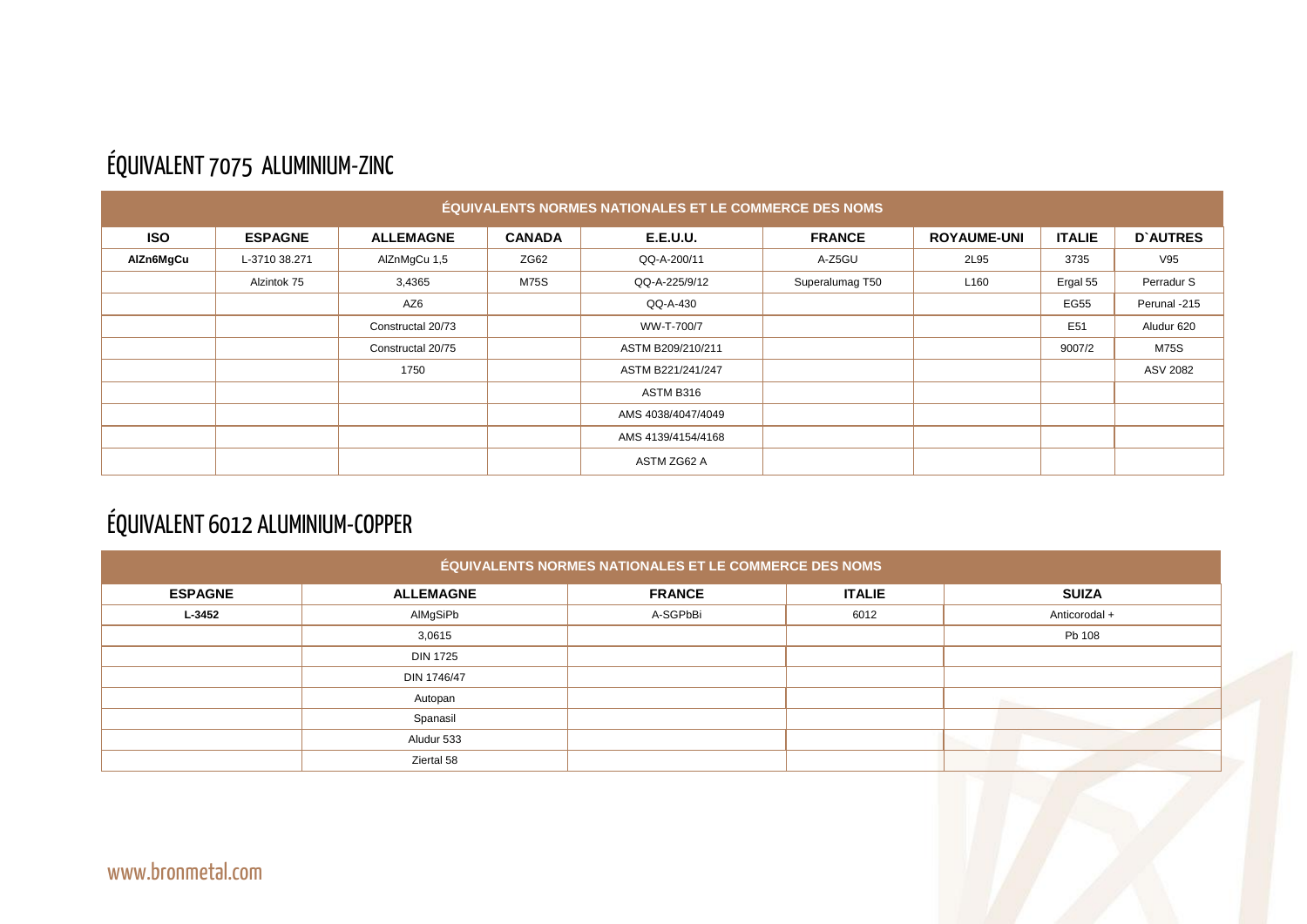|--|

#### ÉQUIVALENT 7075 ALUMINIUM-ZINC

| ÉQUIVALENTS NORMES NATIONALES ET LE COMMERCE DES NOMS |                |                   |               |                    |                 |                    |                 |                 |  |
|-------------------------------------------------------|----------------|-------------------|---------------|--------------------|-----------------|--------------------|-----------------|-----------------|--|
| <b>ISO</b>                                            | <b>ESPAGNE</b> | <b>ALLEMAGNE</b>  | <b>CANADA</b> | <b>E.E.U.U.</b>    | <b>FRANCE</b>   | <b>ROYAUME-UNI</b> | <b>ITALIE</b>   | <b>D'AUTRES</b> |  |
| AlZn6MgCu                                             | L-3710 38.271  | AlZnMgCu 1,5      | ZG62          | QQ-A-200/11        | A-Z5GU          | 2L95               | 3735            | V95             |  |
|                                                       | Alzintok 75    | 3,4365            | <b>M75S</b>   | QQ-A-225/9/12      | Superalumag T50 | L <sub>160</sub>   | Ergal 55        | Perradur S      |  |
|                                                       |                | AZ6               |               | QQ-A-430           |                 |                    | <b>EG55</b>     | Perunal -215    |  |
|                                                       |                | Constructal 20/73 |               | WW-T-700/7         |                 |                    | E <sub>51</sub> | Aludur 620      |  |
|                                                       |                | Constructal 20/75 |               | ASTM B209/210/211  |                 |                    | 9007/2          | <b>M75S</b>     |  |
|                                                       |                | 1750              |               | ASTM B221/241/247  |                 |                    |                 | ASV 2082        |  |
|                                                       |                |                   |               | ASTM B316          |                 |                    |                 |                 |  |
|                                                       |                |                   |               | AMS 4038/4047/4049 |                 |                    |                 |                 |  |
|                                                       |                |                   |               | AMS 4139/4154/4168 |                 |                    |                 |                 |  |
|                                                       |                |                   |               | ASTM ZG62 A        |                 |                    |                 |                 |  |

## ÉQUIVALENT 6012 ALUMINIUM-COPPER

| ÉQUIVALENTS NORMES NATIONALES ET LE COMMERCE DES NOMS |                  |               |               |               |  |  |  |  |  |
|-------------------------------------------------------|------------------|---------------|---------------|---------------|--|--|--|--|--|
| <b>ESPAGNE</b>                                        | <b>ALLEMAGNE</b> | <b>FRANCE</b> | <b>ITALIE</b> | <b>SUIZA</b>  |  |  |  |  |  |
| L-3452                                                | AlMgSiPb         | A-SGPbBi      | 6012          | Anticorodal + |  |  |  |  |  |
|                                                       | 3,0615           |               |               | Pb 108        |  |  |  |  |  |
|                                                       | <b>DIN 1725</b>  |               |               |               |  |  |  |  |  |
|                                                       | DIN 1746/47      |               |               |               |  |  |  |  |  |
|                                                       | Autopan          |               |               |               |  |  |  |  |  |
|                                                       | Spanasil         |               |               |               |  |  |  |  |  |
|                                                       | Aludur 533       |               |               |               |  |  |  |  |  |
|                                                       | Ziertal 58       |               |               |               |  |  |  |  |  |